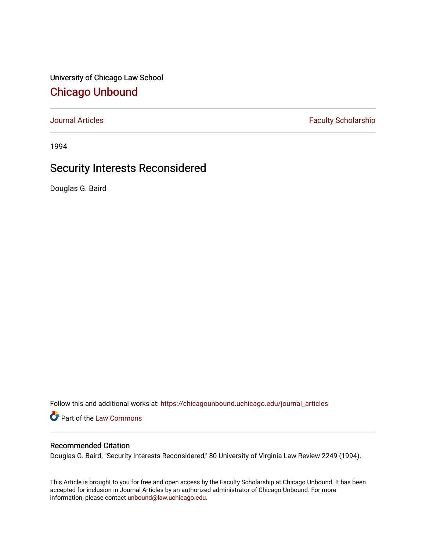University of Chicago Law School [Chicago Unbound](https://chicagounbound.uchicago.edu/)

[Journal Articles](https://chicagounbound.uchicago.edu/journal_articles) **Faculty Scholarship Faculty Scholarship** 

1994

# Security Interests Reconsidered

Douglas G. Baird

Follow this and additional works at: [https://chicagounbound.uchicago.edu/journal\\_articles](https://chicagounbound.uchicago.edu/journal_articles?utm_source=chicagounbound.uchicago.edu%2Fjournal_articles%2F546&utm_medium=PDF&utm_campaign=PDFCoverPages) 

Part of the [Law Commons](http://network.bepress.com/hgg/discipline/578?utm_source=chicagounbound.uchicago.edu%2Fjournal_articles%2F546&utm_medium=PDF&utm_campaign=PDFCoverPages)

# Recommended Citation

Douglas G. Baird, "Security Interests Reconsidered," 80 University of Virginia Law Review 2249 (1994).

This Article is brought to you for free and open access by the Faculty Scholarship at Chicago Unbound. It has been accepted for inclusion in Journal Articles by an authorized administrator of Chicago Unbound. For more information, please contact [unbound@law.uchicago.edu](mailto:unbound@law.uchicago.edu).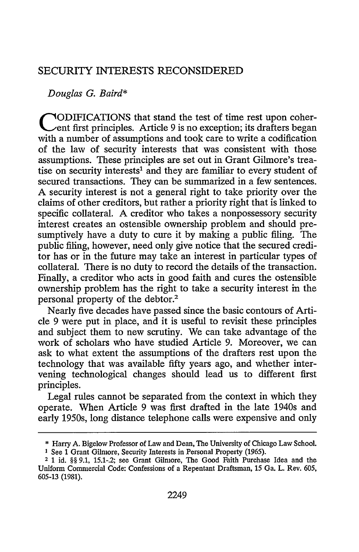# SECURITY INTERESTS RECONSIDERED

*Douglas G. Baird\**

**CODIFICATIONS** that stand the test of time rest upon coherent first principles. Article 9 is no exception; its drafters began with a number of assumptions and took care to write a codification of the law of security interests that was consistent with those assumptions. These principles are set out in Grant Gilmore's treatise on security interests' and they are familiar to every student of secured transactions. They can be summarized in a few sentences. A security interest is not a general right to take priority over the claims of other creditors, but rather a priority right that is linked to specific collateral. A creditor who takes a nonpossessory security interest creates an ostensible ownership problem and should presumptively have a duty to cure it by making a public filing. The public filing, however, need only give notice that the secured creditor has or in the future may take an interest in particular types of collateral. There is no duty to record the details of the transaction. Finally, a creditor who acts in good faith and cures the ostensible ownership problem has the right to take a security interest in the personal property of the debtor.2

Nearly five decades have passed since the basic contours of Article 9 were put in place, and it is useful to revisit these principles and subject them to new scrutiny. We can take advantage of the work of scholars who have studied Article 9. Moreover, we can ask to what extent the assumptions of the drafters rest upon the technology that was available fifty years ago, and whether intervening technological changes should lead us to different first principles.

Legal rules cannot be separated from the context in which they operate. When Article 9 was first drafted in the late 1940s and early 1950s, long distance telephone calls were expensive and only

<sup>\*</sup>Harry **A.** Bigelow Professor of Law and Dean, The University of Chicago Law School. **1** See 1 Grant Gilmore, Security Interests in Personal Property (1965).

**<sup>2</sup>**1 id. §§ 9.1, 15.1-.2; see Grant Gilmore, The Good Faith Purchase Idea and the

Uniform Commercial Code: Confessions of a Repentant Draftsman, 15 Ga. L. Rev. 605, 605-13 (1981).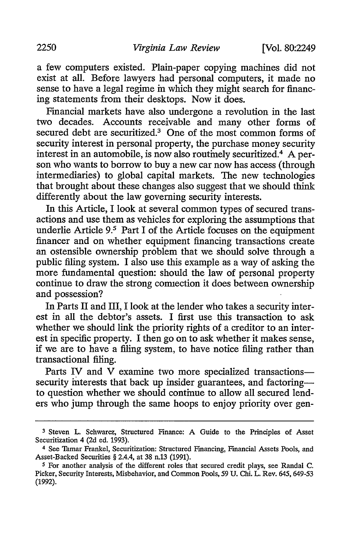a few computers existed. Plain-paper copying machines did not exist at all. Before lawyers had personal computers, it made no sense to have a legal regime in which they might search for financing statements from their desktops. Now it does.

Financial markets have also undergone a revolution in the last two decades. Accounts receivable and many other forms of secured debt are securitized.<sup>3</sup> One of the most common forms of security interest in personal property, the purchase money security interest in an automobile, is now also routinely securitized.4 A person who wants to borrow to buy a new car now has access (through intermediaries) to global capital markets. The new technologies that brought about these changes also suggest that we should think differently about the law governing security interests.

In this Article, I look at several common types of secured transactions and use them as vehicles for exploring the assumptions that underlie Article 9.<sup>5</sup> Part I of the Article focuses on the equipment financer and on whether equipment financing transactions create an ostensible ownership problem that we should solve through a public filing system. I also use this example as a way of asking the more fundamental question: should the law of personal property continue to draw the strong connection it does between ownership and possession?

In Parts II and III, I look at the lender who takes a security interest in all the debtor's assets. I first use this transaction to ask whether we should link the priority rights of a creditor to an interest in specific property. I then go on to ask whether it makes sense, if we are to have a filing system, to have notice filing rather than transactional filing.

Parts IV and V examine two more specialized transactionssecurity interests that back up insider guarantees, and factoringto question whether we should continue to allow all secured lenders who jump through the same hoops to enjoy priority over gen-

<sup>3</sup> Steven L. Schwarcz, Structured Finance: A Guide to the Principles of Asset Securitization 4 (2d ed. 1993).

<sup>4</sup> See Tamar Frankel, Securitization: Structured Financing, Financial Assets Pools, and Asset-Backed Securities § 2.4.4, at 38 n.13 (1991).

**<sup>5</sup>** For another analysis of the different roles that secured credit plays, see Randal C. Picker, Security Interests, Misbehavior, and Common Pools, 59 U. Chi. L. Rev. 645, 649-53 (1992).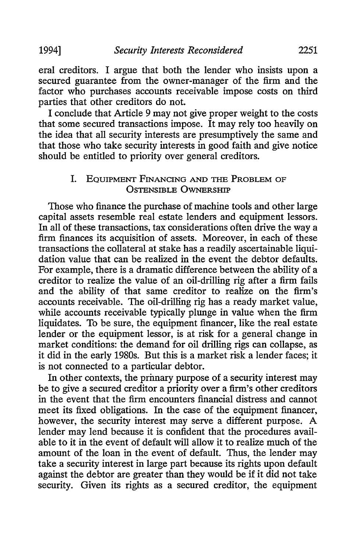eral creditors. I argue that both the lender who insists upon a secured guarantee from the owner-manager of the firm and the factor who purchases accounts receivable impose costs on third parties that other creditors do not.

I conclude that Article 9 may not give proper weight to the costs that some secured transactions impose. It may rely too heavily on the idea that all security interests are presumptively the same and that those who take security interests in good faith and give notice should be entitled to priority over general creditors.

# I. EQUIPMENT FINANCING **AND** THE PROBLEM OF OSTENSIBLE OWNERSHIP

Those who finance the purchase of machine tools and other large capital assets resemble real estate lenders and equipment lessors. In all of these transactions, tax considerations often drive the way a firm finances its acquisition of assets. Moreover, in each of these transactions the collateral at stake has a readily ascertainable liquidation value that can be realized in the event the debtor defaults. For example, there is a dramatic difference between the ability of a creditor to realize the value of an oil-drilling rig after a firm fails and the ability of that same creditor to realize on the firm's accounts receivable. The oil-drilling rig has a ready market value, while accounts receivable typically plunge in value when the firm liquidates. To be sure, the equipment financer, like the real estate lender or the equipment lessor, is at risk for a general change in market conditions: the demand for oil drilling rigs can collapse, as it did in the early 1980s. But this is a market risk a lender faces; it is not connected to a particular debtor.

In other contexts, the primary purpose of a security interest may be to give a secured creditor a priority over a firm's other creditors in the event that the firm encounters financial distress and cannot meet its fixed obligations. In the case of the equipment financer, however, the security interest may serve a different purpose. A lender may lend because it is confident that the procedures available to it in the event of default will allow it to realize much of the amount of the loan in the event of default. Thus, the lender may take a security interest in large part because its rights upon default against the debtor are greater than they would be if it did not take security. Given its rights as a secured creditor, the equipment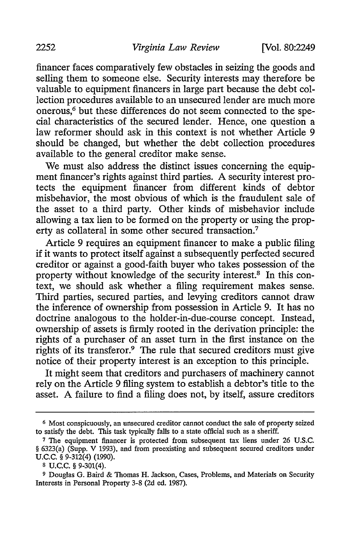financer faces comparatively few obstacles in seizing the goods and selling them to someone else. Security interests may therefore be valuable to equipment financers in large part because the debt collection procedures available to an unsecured lender are much more onerous,<sup>6</sup> but these differences do not seem connected to the special characteristics of the secured lender. Hence, one question a law reformer should ask in this context is not whether Article 9 should be changed, but whether the debt collection procedures available to the general creditor make sense.

We must also address the distinct issues concerning the equipment financer's rights against third parties. A security interest protects the equipment financer from different kinds of debtor misbehavior, the most obvious of which is the fraudulent sale of the asset to a third party. Other kinds of misbehavior include allowing a tax lien to be formed on the property or using the property as collateral in some other secured transaction.7

Article 9 requires an equipment financer to make a public filing if it wants to protect itself against a subsequently perfected secured creditor or against a good-faith buyer who takes possession of the property without knowledge of the security interest.8 In this context, we should ask whether a filing requirement makes sense. Third parties, secured parties, and levying creditors cannot draw the inference of ownership from possession in Article 9. It has no doctrine analogous to the holder-in-due-course concept. Instead, ownership of assets is firmly rooted in the derivation principle: the rights of a purchaser of an asset turn in the first instance on the rights of its transferor.<sup>9</sup> The rule that secured creditors must give notice of their property interest is an exception to this principle.

It might seem that creditors and purchasers of machinery cannot rely on the Article 9 filing system to establish a debtor's title to the asset. A failure to find a filing does not, by itself, assure creditors

**<sup>6</sup>** Most conspicuously, an unsecured creditor cannot conduct the sale of property seized to satisfy the debt. This task typically falls to a state official such as a sheriff.

**<sup>7</sup>** The equipment financer is protected from subsequent tax liens under 26 U.S.C. § 6323(a) (Supp. V 1993), and from preexisting and subsequent secured creditors under U.C.C. § 9-312(4) (1990).

**<sup>8</sup> U.C.C.** § 9-301(4).

**<sup>9</sup>** Douglas G. Baird & Thomas H. Jackson, Cases, Problems, and Materials on Security Interests in Personal Property 3-8 (2d ed. 1987).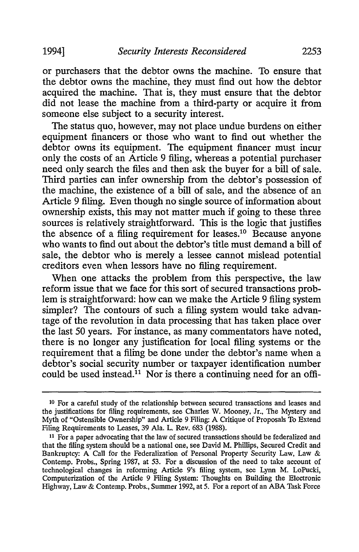or purchasers that the debtor owns the machine. To ensure that the debtor owns the machine, they must find out how the debtor acquired the machine. That is, they must ensure that the debtor did not lease the machine from a third-party or acquire it from someone else subject to a security interest.

The status quo, however, may not place undue burdens on either equipment financers or those who want to find out whether the debtor owns its equipment. The equipment financer must incur only the costs of an Article 9 filing, whereas a potential purchaser need only search the files and then ask the buyer for a bill of sale. Third parties can infer ownership from the debtor's possession of the machine, the existence of a bill of sale, and the absence of an Article 9 filing. Even though no single source of information about ownership exists, this may not matter much if going to these three sources is relatively straightforward. This is the logic that justifies the absence of a filing requirement for leases.10 Because anyone who wants to find out about the debtor's title must demand a bill of sale, the debtor who is merely a lessee cannot mislead potential creditors even when lessors have no fling requirement.

When one attacks the problem from this perspective, the law reform issue that we face for this sort of secured transactions problem is straightforward: how can we make the Article 9 filing system simpler? The contours of such a filing system would take advantage of the revolution in data processing that has taken place over the last 50 years. For instance, as many commentators have noted, there is no longer any justification for local filing systems or the requirement that a filing be done under the debtor's name when a debtor's social security number or taxpayer identification number could be used instead.<sup>11</sup> Nor is there a continuing need for an offi-

**<sup>10</sup>**For a careful study of the relationship between secured transactions and leases and the justifications for filing requirements, see Charles W. Mooney, Jr., The Mystery and Myth of "Ostensible Ownership" and Article 9 Filing: A Critique of Proposals To Extend Filing Requirements to Leases, 39 Ala. L. Rev. 683 (1988).

**<sup>11</sup>** For a paper advocating that the law of secured transactions should be federalized and that the filing system should be a national one, see David M. Phillips, Secured Credit and Bankruptcy: A Call for the Federalization of Personal Property Security Law, Law & Contemp. Probs., Spring 1987, at 53. For a discussion of the need to take account of technological changes in reforming Article 9's filing system, see Lynn M. LoPucki, Computerization of the Article 9 Filing System: Thoughts on Building the Electronic Highway, Law & Contemp. Probs., Summer 1992, at 5. For a report of an ABA Task Force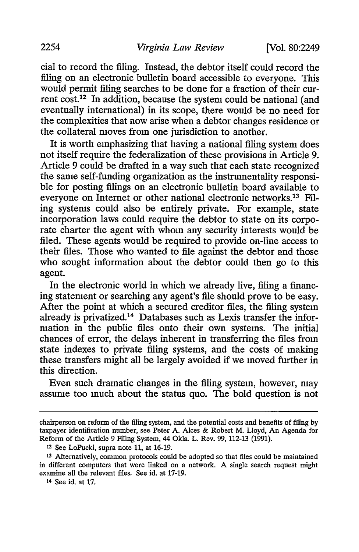cial to record the filing. Instead, the debtor itself could record the filing on an electronic bulletin board accessible to everyone. This would permit filing searches to be done for a fraction of their current cost.<sup>12</sup> In addition, because the system could be national (and eventually international) in its scope, there would be no need for the complexities that now arise when a debtor changes residence or the collateral moves from one jurisdiction to another.

It is worth emphasizing that having a national filing system does not itself require the federalization of these provisions in Article 9. Article 9 could be drafted in a way such that each state recognized the same self-funding organization as the instrumentality responsible for posting filings on an electronic bulletin board available to everyone on Internet or other national electronic networks.13 Filing systems could also be entirely private. For example, state incorporation laws could require the debtor to state on its corporate charter the agent with whom any security interests would be filed. These agents would be required to provide on-line access to their files. Those who wanted to file against the debtor and those who sought information about the debtor could then go to this agent.

In the electronic world in which we already live, filing a financing statement or searching any agent's file should prove to be easy. After the point at which a secured creditor files, the filing system already is privatized.14 Databases such as Lexis transfer the information in the public files onto their own systems. The initial chances of error, the delays inherent in transferring the files from state indexes to private filing systems, and the costs of making these transfers might all be largely avoided if we moved further in this direction.

Even such dramatic changes in the filing system, however, may assume too much about the status quo. The bold question is not

chairperson on reform of the filing system, and the potential costs and benefits of filing by taxpayer identification number, see Peter A. Alces & Robert M. Lloyd, An Agenda for Reform of the Article 9 Filing System, 44 Okla. L. Rev. 99, 112-13 (1991).

<sup>&</sup>lt;sup>12</sup> See LoPucki, supra note 11, at 16-19.

**<sup>13</sup>** Alternatively, common protocols could be adopted so that files could be maintained in different computers that were linked on a network. A single search request might examine all the relevant files. See id. at 17-19.

<sup>14</sup> See id. at 17.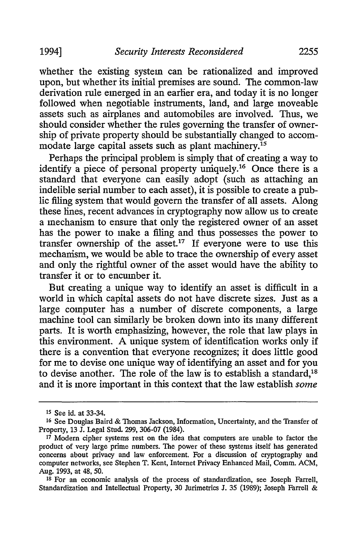whether the existing system can be rationalized and improved upon, but whether its initial premises are sound. The common-law derivation rule emerged in an earlier era, and today it is no longer followed when negotiable instruments, land, and large moveable assets such as airplanes and automobiles are involved. Thus, we should consider whether the rules governing the transfer of ownership of private property should be substantially changed to accommodate large capital assets such as plant machinery.<sup>15</sup>

Perhaps the principal problem is simply that of creating a way to identify a piece of personal property uniquely.<sup>16</sup> Once there is a standard that everyone can easily adopt (such as attaching an indelible serial number to each asset), it is possible to create a public filing system that would govern the transfer of all assets. Along these lines, recent advances in cryptography now allow us to create a mechanism to ensure that only the registered owner of an asset has the power to make a filing and thus possesses the power to transfer ownership of the asset.<sup>17</sup> If everyone were to use this mechanism, we would be able to trace the ownership of every asset and only the rightful owner of the asset would have the ability to transfer it or to encumber it.

But creating a unique way to identify an asset is difficult in a world in which capital assets do not have discrete sizes. Just as a large computer has a number of discrete components, a large machine tool can similarly be broken down into its many different parts. It is worth emphasizing, however, the role that law plays in this environment. A unique system of identification works only if there is a convention that everyone recognizes; it does little good for me to devise one unique way of identifying an asset and for you to devise another. The role of the law is to establish a standard,<sup>18</sup> and it is more important in this context that the law establish *some*

**<sup>15</sup>** See id. at 33-34.

**<sup>16</sup>** See Douglas Baird & Thomas Jackson, Information, Uncertainty, and the Transfer of Property, 13 J. Legal Stud. 299, 306-07 (1984).

**<sup>17</sup>** Modern cipher systems rest on the idea that computers are unable to factor the product of very large prime numbers. The power of these systems itself has generated concerns about privacy and law enforcement. For a discussion of cryptography and computer networks, see Stephen T. Kent, Internet Privacy Enhanced Mail, Comm. ACM, Aug. 1993, at 48, 50.

**Is** For an economic analysis of the process of standardization, see Joseph Farrell, Standardization and Intellectual Property, 30 Jurimetrics J. 35 (1989); Joseph Farrell &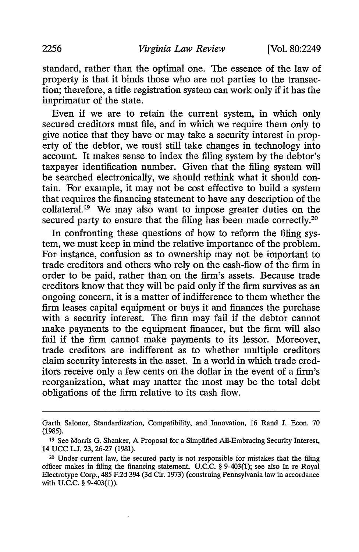standard, rather than the optimal one. The essence of the law of property is that it binds those who are not parties to the transaction; therefore, a title registration system can work only if it has the imprimatur of the state.

Even if we are to retain the current system, in which only secured creditors must file, and in which we require them only to give notice that they have or may take a security interest in property of the debtor, we must still take changes in technology into account. It makes sense to index the filing system by the debtor's taxpayer identification number. Given that the filing system will be searched electronically, we should rethink what it should contain. For example, it may not be cost effective to build a system that requires the financing statement to have any description of the collateral.19 We may also want to impose greater duties on the secured party to ensure that the filing has been made correctly.<sup>20</sup>

In confronting these questions of how to reform the filing system, we must keep in mind the relative importance of the problem. For instance, confusion as to ownership may not be important to trade creditors and others who rely on the cash-flow of the firm in order to be paid, rather than on the firm's assets. Because trade creditors know that they will be paid only if the firm survives as an ongoing concern, it is a matter of indifference to them whether the firm leases capital equipment or buys it and finances the purchase with a security interest. The firm may fail if the debtor cannot make payments to the equipment financer, but the firm will also fail if the firm cannot make payments to its lessor. Moreover, trade creditors are indifferent as to whether multiple creditors claim security interests in the asset. In a world in which trade creditors receive only a few cents on the dollar in the event of a firm's reorganization, what may matter the most may be the total debt obligations of the firm relative to its cash flow.

Garth Saloner, Standardization, Compatibility, and Innovation, 16 Rand J. Econ. 70 (1985).

**<sup>19</sup>**See Morris G. Shanker, A Proposal for a Simplified All-Embracing Security Interest, 14 **UCC** L.J. 23, 26-27 (1981).

**<sup>20</sup>**Under current law, the secured party is not responsible for mistakes that the filing officer makes in filing the financing statement. U.C.C. § 9-403(1); see also In re Royal Electrotype Corp., 485 F.2d 394 (3d Cir. 1973) (construing Pennsylvania law in accordance with U.C.C. § 9-403(1)).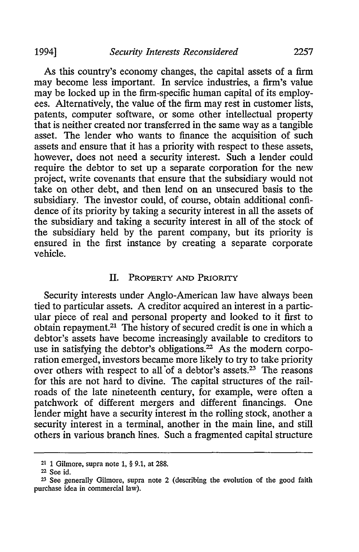As this country's economy changes, the capital assets of a firm may become less important. In service industries, a firm's value may be locked up in the firm-specific human capital of its employees. Alternatively, the value of the firm may rest in customer lists, patents, computer software, or some other intellectual property that is neither created nor transferred in the same way as a tangible asset. The lender who wants to finance the acquisition of such assets and ensure that it has a priority with respect to these assets, however, does not need a security interest. Such a lender could require the debtor to set up a separate corporation for the new project, write covenants that ensure that the subsidiary would not take on other debt, and then lend on an unsecured basis to the subsidiary. The investor could, of course, obtain additional confidence of its priority by taking a security interest in all the assets of the subsidiary and taking a security interest in all of the stock of the subsidiary held by the parent company, but its priority is ensured in the first instance by creating a separate corporate vehicle.

#### II. PROPERTY **AND** PRIORITY

Security interests under Anglo-American law have always been tied to particular assets. A creditor acquired an interest in a particular piece of real and personal property and looked to it first to obtain repayment.2' The history of secured credit is one in which a debtor's assets have become increasingly available to creditors to use in satisfying the debtor's obligations.<sup>22</sup> As the modern corporation emerged, investors became more likely to try to take priority over others with respect to all of a debtor's assets.<sup>23</sup> The reasons for this are not hard to divine. The capital structures of the railroads of the late nineteenth century, for example, were often a patchwork of different mergers and different financings. One lender might have a security interest in the rolling stock, another a security interest in a terminal, another in the main line, and still others in various branch lines. Such a fragmented capital structure

<sup>21</sup> 1 Gilmore, supra note 1, § 9.1, at 288.

 $22$  See id.

**<sup>23</sup>**See generally Gilmore, supra note 2 (describing the evolution of the good faith purchase idea in commercial law).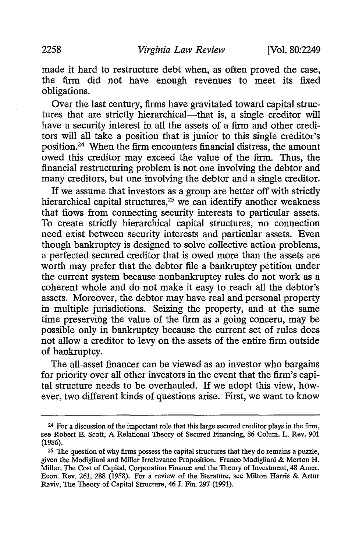made it hard to restructure debt when, as often proved the case, the firm did not have enough revenues to meet its fixed obligations.

Over the last century, firms have gravitated toward capital structures that are strictly hierarchical—that is, a single creditor will have a security interest in all the assets of a firm and other creditors will all take a position that is junior to this single creditor's position. 4 When the firm encounters financial distress, the amount owed this creditor may exceed the value of the firm. Thus, the financial restructuring problem is not one involving the debtor and many creditors, but one involving the debtor and a single creditor.

If we assume that investors as a group are better off with strictly hierarchical capital structures,<sup>25</sup> we can identify another weakness that flows from connecting security interests to particular assets. To create strictly hierarchical capital structures, no connection need exist between security interests and particular assets. Even though bankruptcy is designed to solve collective action problems, a perfected secured creditor that is owed more than the assets are worth may prefer that the debtor file a bankruptcy petition under the current system because nonbankruptcy rules do not work as a coherent whole and do not make it easy to reach all the debtor's assets. Moreover, the debtor may have real and personal property in multiple jurisdictions. Seizing the property, and at the same time preserving the value of the firm as a going conceru, may be possible only in bankruptcy because the current set of rules does not allow a creditor to levy on the assets of the entire firm outside of bankruptcy.

The all-asset financer can be viewed as an investor who bargains for priority over all other investors in the event that the firm's capital structure needs to be overhauled. If we adopt this view, however, two different kinds of questions arise. First, we want to know

**<sup>24</sup>**For a discussion of the important role that this large secured creditor plays in the firm, see Robert E. Scott, A Relational Theory of Secured Financing, 86 Colum. L. Rev. 901 (1986).

**<sup>25</sup>**The question of why firms possess the capital structures that they do remains a puzzle, given the Modigliani and Miller Irrelevance Proposition. Franco Modigliani & Merton H. Miller, The Cost of Capital, Corporation Finance and the Theory of Investment, 48 Amer. Econ. Rev. 261, 288 (1958). For a review of the literature, see Milton Harris & Artur Raviv, The Theory of Capital Structure, 46 J. Fin. 297 (1991).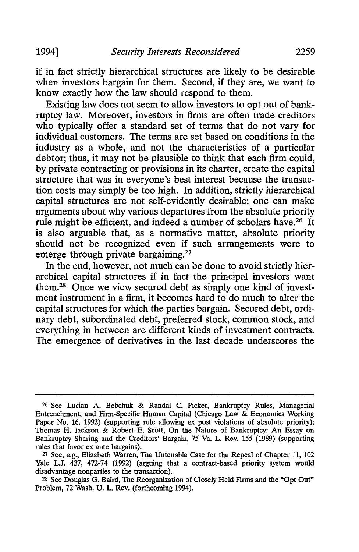if in fact strictly hierarchical structures are likely to be desirable when investors bargain for them. Second, if they are, we want to know exactly how the law should respond to them.

Existing law does not seem to allow investors to opt out of bankruptcy law. Moreover, investors in firms are often trade creditors who typically offer a standard set of terms that do not vary for individual customers. The terms are set based on conditions in the industry as a whole, and not the characteristics of a particular debtor; thus, it may not be plausible to think that each firm could, by private contracting or provisions in its charter, create the capital structure that was in everyone's best interest because the transaction costs may simply be too high. In addition, strictly hierarchical capital structures are not self-evidently desirable: one can make arguments about why various departures from the absolute priority rule might be efficient, and indeed a number of scholars have.<sup>26</sup> It is also arguable that, as a normative matter, absolute priority should not be recognized even if such arrangements were to emerge through private bargaining.<sup>27</sup>

In the end, however, not much can be done to avoid strictly hierarchical capital structures if in fact the principal investors want them.<sup>28</sup> Once we view secured debt as simply one kind of investment instrument in a firm, it becomes hard to do much to alter the capital structures for which the parties bargain. Secured debt, ordinary debt, subordinated debt, preferred stock, common stock, and everything in between are different kinds of investment contracts. The emergence of derivatives in the last decade underscores the

**<sup>26</sup>**See Lucian A. Bebchuk & Randal C. Picker, Bankruptcy Rules, Managerial Entrenchment, and Firm-Specific Human Capital (Chicago Law & Economics Working Paper No. 16, 1992) (supporting rule allowing ex post violations of absolute priority); Thomas H. Jackson & Robert E. Scott, On the Nature of Bankruptcy: An Essay on Bankruptcy Sharing and the Creditors' Bargain, 75 Va. L. Rev. 155 (1989) (supporting rules that favor ex ante bargains).

<sup>27</sup>See, e.g., Elizabeth Warren, The Untenable Case for the Repeal of Chapter 11, 102 Yale L.J. 437, 472-74 (1992) (arguing that a contract-based priority system would disadvantage nonparties to the transaction).

<sup>&</sup>lt;sup>28</sup> See Douglas G. Baird, The Reorganization of Closely Held Firms and the "Opt Out" Problem, 72 Wash. U. L. Rev. (forthcoming 1994).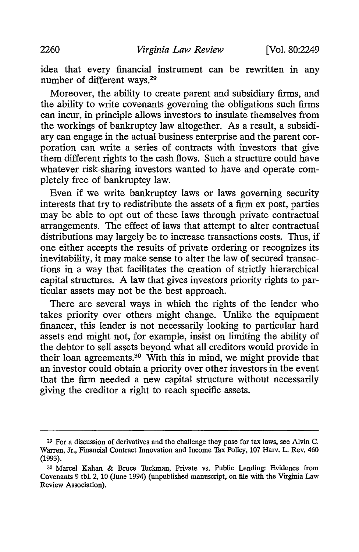idea that every financial instrument can be rewritten in any number of different ways.<sup>29</sup>

Moreover, the ability to create parent and subsidiary firms, and the ability to write covenants governing the obligations such firms can incur, in principle allows investors to insulate themselves from the workings of bankruptcy law altogether. As a result, a subsidiary can engage in the actual business enterprise and the parent corporation can write a series of contracts with investors that give them different rights to the cash flows. Such a structure could have whatever risk-sharing investors wanted to have and operate completely free of bankruptcy law.

Even if we write bankruptcy laws or laws governing security interests that try to redistribute the assets of a firm ex post, parties may be able to opt out of these laws through private contractual arrangements. The effect of laws that attempt to alter contractual distributions may largely be to increase transactions costs. Thus, if one either accepts the results of private ordering or recognizes its inevitability, it may make sense to alter the law of secured transactions in a way that facilitates the creation of strictly hierarchical capital structures. A law that gives investors priority rights to particular assets may not be the best approach.

There are several ways in which the rights of the lender who takes priority over others might change. Unlike the equipment financer, this lender is not necessarily looking to particular hard assets and might not, for example, insist on limiting the ability of the debtor to sell assets beyond what all creditors would provide in their loan agreements.<sup>30</sup> With this in mind, we might provide that an investor could obtain a priority over other investors in the event that the firm needed a new capital structure without necessarily giving the creditor a right to reach specific assets.

**<sup>29</sup>**For a discussion of derivatives and the challenge they pose for tax laws, see Alvin C. Warren, Jr., Financial Contract Innovation and Income Tax Policy, 107 Harv. L. Rev. 460 (1993).

<sup>30</sup>Marcel Kahan & Bruce Tuckman, Private vs. Public Lending: Evidence from Covenants 9 tbl. 2, 10 (June 1994) (unpublished manuscript, on file with the Virginia Law Review Association).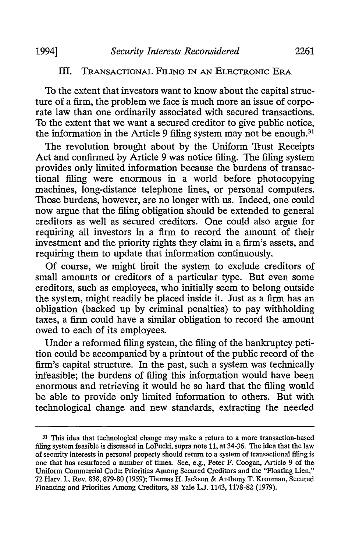## III. TRANSACTIONAL FILING IN AN ELECTRONIC ERA

To the extent that investors want to know about the capital structure of a firm, the problem we face is much more an issue of corporate law than one ordinarily associated with secured transactions. To the extent that we want a secured creditor to give public notice, the information in the Article 9 filing system may not be enough.<sup>31</sup>

The revolution brought about by the Uniform Trust Receipts Act and confirmed by Article 9 was notice filing. The filing system provides only limited information because the burdens of transactional filing were enormous in a world before photocopying machines, long-distance telephone lines, or personal computers. Those burdens, however, are no longer with us. Indeed, one could now argue that the filing obligation should be extended to general creditors as well as secured creditors. One could also argue for requiring all investors in a firm to record the amount of their investment and the priority rights they claim in a firm's assets, and requiring them to update that information continuously.

Of course, we might limit the system to exclude creditors of small amounts or creditors of a particular type. But even some creditors, such as employees, who initially seem to belong outside the system, might readily be placed inside it. Just as a firm has an obligation (backed up by criminal penalties) to pay withholding taxes, a firm could have a similar obligation to record the amount owed to each of its employees.

Under a reformed filing system, the filing of the bankruptcy petition could be accompanied by a printout of the public record of the firm's capital structure. In the past, such a system was technically infeasible; the burdens of filing this information would have been enormous and retrieving it would be so hard that the filing would be able to provide only limited information to others. But with technological change and new standards, extracting the needed

**<sup>31</sup>** This idea that technological change may make a return to a more transaction-based filing system feasible is discussed in LoPucki, supra note 11, at 34-36. The idea that the law of security interests in personal property should return to a system of transactional filing is one that has resurfaced a number of times. See, e.g., Peter F. Coogan, Article 9 of the Uniform Commercial Code: Priorities Among Secured Creditors and the "Floating Lien," 72 Harv. L. Rev. 838, 879-80 (1959); Thomas H. Jackson & Anthony T. Kronman, Secured Financing and Priorities Among Creditors, 88 Yale **L.J.** 1143, 1178-82 (1979).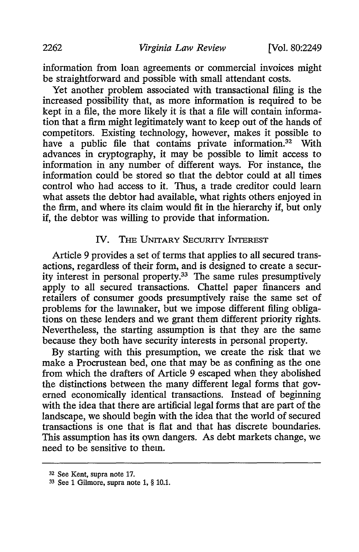information from loan agreements or commercial invoices might be straightforward and possible with small attendant costs.

Yet another problem associated with transactional filing is the increased possibility that, as more information is required to be kept in a file, the more likely it is that a file will contain information that a firm might legitimately want to keep out of the hands of competitors. Existing technology, however, makes it possible to have a public file that contains private information.<sup>32</sup> With advances in cryptography, it may be possible to limit access to information in any number of different ways. For instance, the information could be stored so that the debtor could at all times control who had access to it. Thus, a trade creditor could learn what assets the debtor had available, what rights others enjoyed in the firm, and where its claim would fit in the hierarchy if, but only if, the debtor was willing to provide that information.

#### IV. THE UNITARY SECURITY INTEREST

Article 9 provides a set of terms that applies to all secured transactions, regardless of their form, and is designed to create a security interest in personal property.<sup>33</sup> The same rules presumptively apply to all secured transactions. Chattel paper financers and retailers of consumer goods presumptively raise the same set of problems for the lawmaker, but we impose different filing obligations on these lenders and we grant them different priority rights. Nevertheless, the starting assumption is that they are the same because they both have security interests in personal property.

By starting with this presumption, we create the risk that we make a Procrustean bed, one that may be as confining as the one from which the drafters of Article 9 escaped when they abolished the distinctions between the many different legal forms that governed economically identical transactions. Instead of beginning with the idea that there are artificial legal forms that are part of the landscape, we should begin with the idea that the world of secured transactions is one that is flat and that has discrete boundaries. This assumption has its own dangers. As debt markets change, we need to be sensitive to them.

**<sup>32</sup>**See Kent, supra note 17.

**<sup>33</sup>**See **1** Gilmore, supra note 1, § 10.1.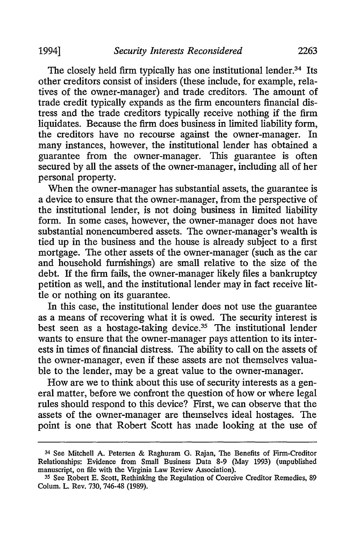The closely held firm typically has one institutional lender.<sup>34</sup> Its other creditors consist of insiders (these include, for example, relatives of the owner-manager) and trade creditors. The amount of trade credit typically expands as the firm encounters financial distress and the trade creditors typically receive nothing if the firm liquidates. Because the firm does business in limited liability form, the creditors have no recourse against the owner-manager. many instances, however, the institutional lender has obtained a guarantee from the owner-manager. This guarantee is often secured by all the assets of the owner-manager, including all of her personal property.

When the owner-manager has substantial assets, the guarantee is a device to ensure that the owner-manager, from the perspective of the institutional lender, is not doing business in limited liability form. In some cases, however, the owner-manager does not have substantial nonencumbered assets. The owner-manager's wealth is tied up in the business and the house is already subject to a first mortgage. The other assets of the owner-manager (such as the car and household furnishings) are small relative to the size of the debt. If the firm fails, the owner-manager likely files a bankruptcy petition as well, and the institutional lender may in fact receive little or nothing on its guarantee.

In this case, the institutional lender does not use the guarantee as a means of recovering what it is owed. The security interest is best seen as a hostage-taking device.<sup>35</sup> The institutional lender wants to ensure that the owner-manager pays attention to its interests in times of financial distress. The ability to call on the assets of the owner-manager, even if these assets are not themselves valuable to the lender, may be a great value to the owner-manager.

How are we to think about this use of security interests as a general matter, before we confront the question of how or where legal rules should respond to this device? First, we can observe that the assets of the owner-manager are themselves ideal hostages. The point is one that Robert Scott has made looking at the use of

<sup>34</sup> See Mitchell A. Petersen & Raghuram G. Rajan, The Benefits of Firm-Creditor Relationships: Evidence from Small Business Data 8-9 (May 1993) (unpublished manuscript, on file with the Virginia Law Review Association).

<sup>35</sup> See Robert E. Scott, Rethinking the Regulation of Coercive Creditor Remedies, 89 Colum. L. Rev. 730, 746-48 (1989).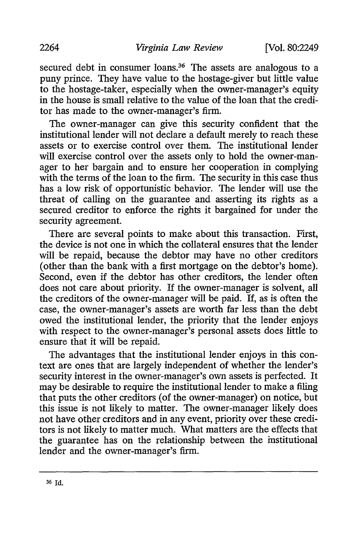secured debt in consumer loans.<sup>36</sup> The assets are analogous to a puny prince. They have value to the hostage-giver but little value to the hostage-taker, especially when the owner-manager's equity in the house is small relative to the value of the loan that the creditor has made to the owner-manager's firm.

The owner-manager can give this security confident that the institutional lender will not declare a default merely to reach these assets or to exercise control over them. The institutional lender will exercise control over the assets only to hold the owner-manager to her bargain and to ensure her cooperation in complying with the terms of the loan to the firm. The security in this case thus has a low risk of opportunistic behavior. The lender will use the threat of calling on the guarantee and asserting its rights as a secured creditor to enforce the rights it bargained for under the security agreement.

There are several points to make about this transaction. First, the device is not one in which the collateral ensures that the lender will be repaid, because the debtor may have no other creditors (other than the bank with a first mortgage on the debtor's home). Second, even if the debtor has other creditors, the lender often does not care about priority. If the owner-manager is solvent, all the creditors of the owner-manager will be paid. If, as is often the case, the owner-manager's assets are worth far less than the debt owed the institutional lender, the priority that the lender enjoys with respect to the owner-manager's personal assets does little to ensure that it will be repaid.

The advantages that the institutional lender enjoys in this context are ones that are largely independent of whether the lender's security interest in the owner-manager's own assets is perfected. It may be desirable to require the institutional lender to make a filing that puts the other creditors (of the owner-manager) on notice, but this issue is not likely to matter. The owner-manager likely does not have other creditors and in any event, priority over these creditors is not likely to matter much. What matters are the effects that the guarantee has on the relationship between the institutional lender and the owner-manager's firm.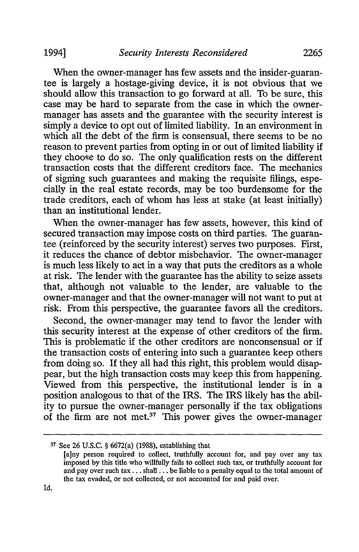When the owner-manager has few assets and the insider-guarantee is largely a hostage-giving device, it is not obvious that we should allow this transaction to go forward at all. To be sure, this case may be hard to separate from the case in which the ownermanager has assets and the guarantee with the security interest is simply a device to opt out of limited liability. In an environment in which all the debt of the firm is consensual, there seems to be no reason to prevent parties from opting in or out of limited liability if they choose to do so. The only qualification rests on the different transaction costs that the different creditors face. The mechanics of signing such guarantees and making the requisite filings, especially in the real estate records, may be too burdensome for the trade creditors, each of whom has less at stake (at least initially) than an institutional lender.

When the owner-manager has few assets, however, this kind of secured transaction may impose costs on third parties. The guarantee (reinforced by the security interest) serves two purposes. First, it reduces the chance of debtor misbehavior. The owner-manager is much less likely to act in a way that puts the creditors as a whole at risk. The lender with the guarantee has the ability to seize assets that, although not valuable to the lender, are valuable to the owner-manager and that the owner-manager will not want to put at risk. From this perspective, the guarantee favors all the creditors.

Second, the owner-manager may tend to favor the lender with this security interest at the expense of other creditors of the firm. This is problematic if the other creditors are nonconsensual or if the transaction costs of entering into such a guarantee keep others from doing so. If they all had this right, this problem would disappear, but the high transaction costs may keep this from happening. Viewed from this perspective, the institutional lender is in a position analogous to that of the IRS. The IRS likely has the ability to pursue the owner-manager personally if the tax obligations of the firm are not met.<sup>37</sup> This power gives the owner-manager

**<sup>37</sup>**See 26 U.S.C. § 6672(a) (1988), establishing that

<sup>[</sup>a]ny person required to collect, truthfully account for, and pay over any tax imposed by this title who willfully fails to collect such tax, or truthfully account for and pay over such tax... shall **...** be liable to a penalty equal to the total amount of the tax evaded, or not collected, or not accounted for and paid over.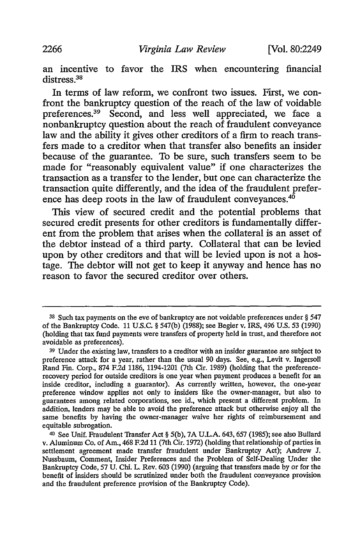an incentive to favor the IRS when encountering financial distress.<sup>38</sup>

In terms of law reform, we confront two issues. First, we confront the bankruptcy question of the reach of the law of voidable preferences.39 Second, and less well appreciated, we face a nonbankruptcy question about the reach of fraudulent conveyance law and the ability it gives other creditors of a firm to reach transfers made to a creditor when that transfer also benefits an insider because of the guarantee. To be sure, such transfers seem to be made for "reasonably equivalent value" if one characterizes the transaction as a transfer to the lender, but one can characterize the transaction quite differently, and the idea of the fraudulent preference has deep roots in the law of fraudulent conveyances.<sup>40</sup>

This view of secured credit and the potential problems that secured credit presents for other creditors is fundamentally different from the problem that arises when the collateral is an asset of the debtor instead of a third party. Collateral that can be levied upon by other creditors and that will be levied upon is not a hostage. The debtor will not get to keep it anyway and hence has no reason to favor the secured creditor over others.

**<sup>38</sup>**Such tax payments on the eve of bankruptcy are not voidable preferences under § 547 of the Bankruptcy Code. 11 U.S.C. § 547(b) (1988); see Begier v. IRS, 496 U.S. 53 (1990) (holding that tax fund payments were transfers of property held in trust, and therefore not avoidable as preferences).

**<sup>39</sup>**Under the existing law, transfers to a creditor with an insider guarantee are subject to preference attack for a year, rather than the usual 90 days. See, e.g., Levit v. Ingersoll Rand Fin. Corp., 874 F.2d 1186, 1194-1201 (7th Cir. 1989) (holding that the preferencerecovery period for outside creditors is one year when payment produces a benefit for an inside creditor, including a guarantor). As currently written, however, the one-year preference window applies not only to insiders like the owner-manager, but also to guarantees among related corporations, see id., which present a different problem. In addition, lenders may be able to avoid the preference attack but otherwise enjoy all the same benefits by having the owner-manager waive her rights of reimbursement and equitable subrogation.

<sup>40</sup>See Unif. Fraudulent Transfer Act § 5(b), 7A U.L.A. 643, 657 (1985); see also Bullard v. Aluminum Co. of Am., 468 F.2d 11 (7th Cir. 1972) (holding that relationship of parties in settlement agreement made transfer fraudulent under Bankruptcy Act); Andrew J. Nussbaum, Comment, Insider Preferences and the Problem of Self-Dealing Under the Bankruptcy Code, 57 U. Chi. L. Rev. 603 (1990) (arguing that transfers made by or for the benefit of insiders should be scrutinized under both the fraudulent conveyance provision and the fraudulent preference provision of the Bankruptcy Code).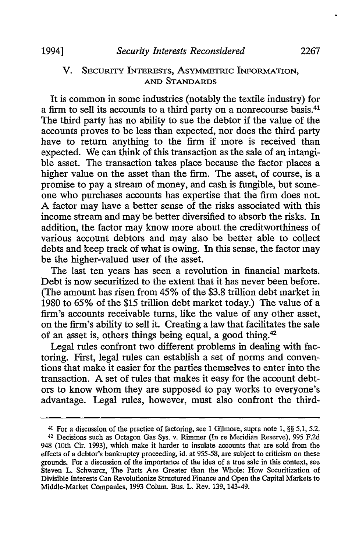# V. **SECURITY INTERESTS,** ASYMMETRIC INFORMATION, **AND** STANDARDS

It is common in some industries (notably the textile industry) for a firm to sell its accounts to a third party on a nonrecourse basis.<sup>41</sup> The third party has no ability to sue the debtor if the value of the accounts proves to be less than expected, nor does the third party have to return anything to the firm if more is received than expected. We can think of this transaction as the sale of an intangible asset. The transaction takes place because the factor places a higher value on the asset than the firm. The asset, of course, is a promise to pay a stream of money, and cash is fungible, but someone who purchases accounts has expertise that the firm does not. A factor may have a better sense of the risks associated with this income stream and may be better diversified to absorb the risks. In addition, the factor may know more about the creditworthiness of various account debtors and may also be better able to collect debts and keep track of what is owing. In this sense, the factor may be the higher-valued user of the asset.

The last ten years has seen a revolution in financial markets. Debt is now securitized to the extent that it has never been before. (The amount has risen from 45% of the \$3.8 trillion debt market in 1980 to 65% of the \$15 trillion debt market today.) The value of a firm's accounts receivable turns, like the value of any other asset, on the firm's ability to sell it. Creating a law that facilitates the sale of an asset is, others things being equal, a good thing.42

Legal rules confront two different problems in dealing with factoring. First, legal rules can establish a set of norms and conventions that make it easier for the parties themselves to enter into the transaction. A set of rules that makes it easy for the account debtors to know whom they are supposed to pay works to everyone's advantage. Legal rules, however, must also confront the third-

<sup>41</sup> For a discussion of the practice of factoring, see 1 Gilmore, supra note 1, §§ 5.1, 5.2.

<sup>42</sup>Decisions such as Octagon Gas Sys. v. Rimmer (In re Meridian Reserve), 995 F.2d 948 (10th Cir. 1993), which make it harder to insulate accounts that are sold from the effects of a debtor's bankruptcy proceeding, id. at 955-58, are subject to criticism on these grounds. For a discussion of the importance of the idea of a true sale in this context, see Steven L. Schwarcz, The Parts Are Greater than the Whole: How Securitization of Divisible Interests Can Revolutionize Structured Finance and Open the Capital Markets to Middle-Market Companies, 1993 Colum. Bus. L. Rev. 139, 143-49.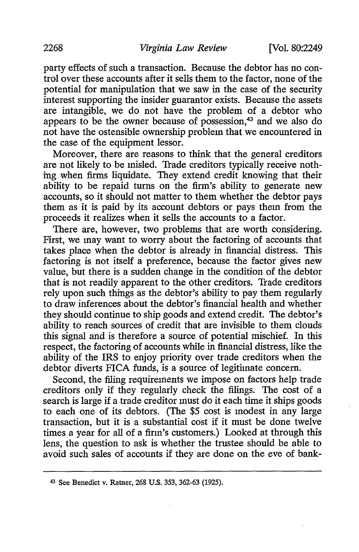party effects of such a transaction. Because the debtor has no control over these accounts after it sells them to the factor, none of the potential for manipulation that we saw in the case of the security interest supporting the insider guarantor exists. Because the assets are intangible, we do not have the problem of a debtor who appears to be the owner because of possession,<sup>43</sup> and we also do not have the ostensible ownership problem that we encountered in the case of the equipment lessor.

Moreover, there are reasons to think that the general creditors are not likely to be misled. Trade creditors typically receive nothing when firms liquidate. They extend credit knowing that their ability to be repaid turns on the firm's ability to generate new accounts, so it should not matter to them whether the debtor pays them as it is paid by its account debtors or pays them from the proceeds it realizes when it sells the accounts to a factor.

There are, however, two problems that are worth considering. First, we may want to worry about the factoring of accounts that takes place when the debtor is already in financial distress. This factoring is not itself a preference, because the factor gives new value, but there is a sudden change in the condition of the debtor that is not readily apparent to the other creditors. Trade creditors rely upon such things as the debtor's ability to pay them regularly to draw inferences about the debtor's financial health and whether they should continue to ship goods and extend credit. The debtor's ability to reach sources of credit that are invisible to them clouds this signal and is therefore a source of potential mischief. In this respect, the factoring of accounts while in financial distress, like the ability of the IRS to enjoy priority over trade creditors when the debtor diverts FICA funds, is a source of legitimate concern.

Second, the filing requirements we impose on factors help trade creditors only if they regularly check the filings. The cost of a search is large if a trade creditor must do it each time it ships goods to each one of its debtors. (The \$5 cost is modest in any large transaction, but it is a substantial cost if it must be done twelve times a year for all of a firm's customers.) Looked at through this lens, the question to ask is whether the trustee should be able to avoid such sales of accounts if they are done on the eve of bank-

<sup>43</sup> See Benedict v. Ratner, 268 U.S. 353, 362-63 (1925).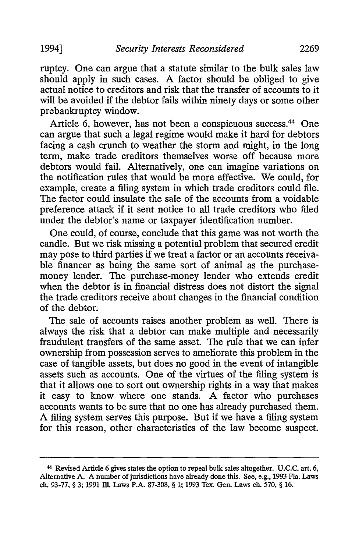ruptcy. One can argue that a statute similar to the bulk sales law should apply in such cases. A factor should be obliged to give actual notice to creditors and risk that the transfer of accounts to it will be avoided if the debtor fails within ninety days or some other prebankruptcy window.

Article 6, however, has not been a conspicuous success.<sup>44</sup> One can argue that such a legal regime would make it hard for debtors facing a cash crunch to weather the storm and might, in the long term, make trade creditors themselves worse off because more debtors would fail. Alternatively, one can imagine variations on the notification rules that would be more effective. We could, for example, create a filing system in which trade creditors could file. The factor could insulate the sale of the accounts from a voidable preference attack if it sent notice to all trade creditors who filed under the debtor's name or taxpayer identification number.

One could, of course, conclude that this game was not worth the candle. But we risk missing a potential problem that secured credit may pose to third parties if we treat a factor or an accounts receivable financer as being the same sort of animal as the purchasemoney lender. The purchase-money lender who extends credit when the debtor is in financial distress does not distort the signal the trade creditors receive about changes in the financial condition of the debtor.

The sale of accounts raises another problem as well. There is always the risk that a debtor can make multiple and necessarily fraudulent transfers of the same asset. The rule that we can infer ownership from possession serves to ameliorate this problem in the case of tangible assets, but does no good in the event of intangible assets such as accounts. One of the virtues of the filing system is that it allows one to sort out ownership rights in a way that makes it easy to know where one stands. A factor who purchases accounts wants to be sure that no one has already purchased them. A filing system serves this purpose. But if we have a filing system for this reason, other characteristics of the law become suspect.

<sup>44</sup> Revised Article 6 gives states the option to repeal bulk sales altogether. U.C.C. art. 6, Alternative A. A number of jurisdictions have already done this. See, e.g., 1993 Fla. Laws ch. 93-77, § 3; 1991 Ill. Laws P.A. 87-308, § 1; 1993 Tex. Gen. Laws ch. 570, § **16.**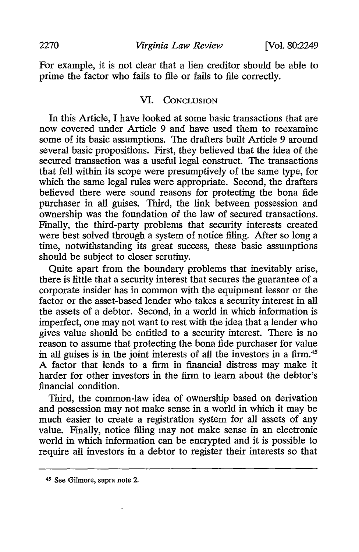For example, it is not clear that a lien creditor should be able to prime the factor who fails to file or fails to file correctly.

# VI. **CONCLUSION**

In this Article, I have looked at some basic transactions that are now covered under Article 9 and have used them to reexamine some of its basic assumptions. The drafters built Article 9 around several basic propositions. First, they believed that the idea of the secured transaction was a useful legal construct. The transactions that fell within its scope were presumptively of the same type, for which the same legal rules were appropriate. Second, the drafters believed there were sound reasons for protecting the bona fide purchaser in all guises. Third, the link between possession and ownership was the foundation of the law of secured transactions. Finally, the third-party problems that security interests created were best solved through a system of notice filing. After so long a time, notwithstanding its great success, these basic assumptions should be subject to closer scrutiny.

Quite apart from the boundary problems that inevitably arise, there is little that a security interest that secures the guarantee of a corporate insider has in common with the equipment lessor or the factor or the asset-based lender who takes a security interest in all the assets of a debtor. Second, in a world in which information is imperfect, one may not want to rest with the idea that a lender who gives value should be entitled to a security interest. There is no reason to assume that protecting the bona fide purchaser for value in all guises is in the joint interests of all the investors in a firm.<sup>45</sup> A factor that lends to a firm in financial distress may make it harder for other investors in the firm to learn about the debtor's financial condition.

Third, the common-law idea of ownership based on derivation and possession may not make sense in a world in which it may be much easier to create a registration system for all assets of any value. Finally, notice filing may not make sense in an electronic world in which information can be encrypted and it is possible to require all investors in a debtor to register their interests so that

<sup>45</sup> See Gilmore, supra note 2.